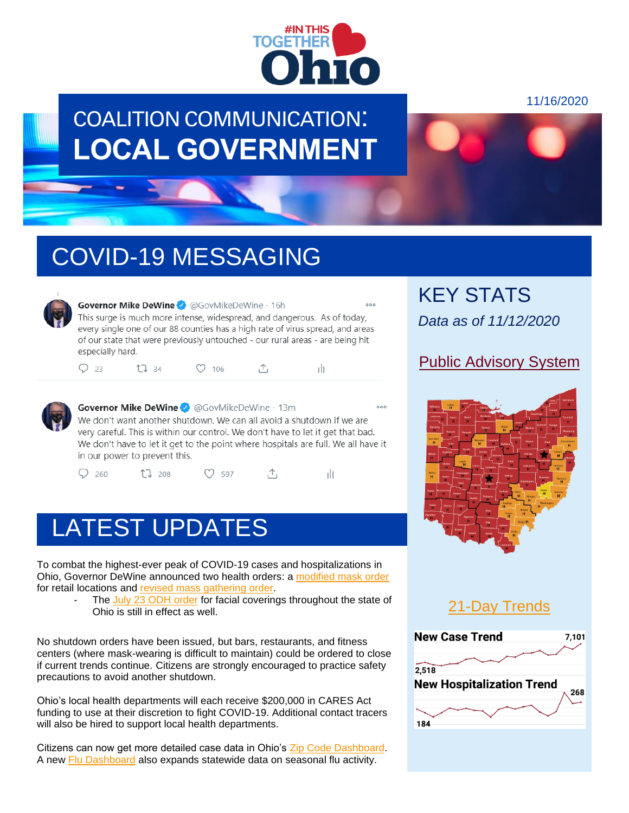

# COALITION COMMUNICATION: **LOCAL GOVERNMENT**

11/16/2020

# COVID-19 MESSAGING



Governor Mike DeWine @ @GovMikeDeWine . 16h This surge is much more intense, widespread, and dangerous. As of today, every single one of our 88 counties has a high rate of virus spread, and areas of our state that were previously untouched - our rural areas - are being hit especially hard.

| $Q_{23}$ | 17.34 | $\circ$ 106 |  |
|----------|-------|-------------|--|
|          |       |             |  |



Governor Mike DeWine 3 @GovMikeDeWine . 13m We don't want another shutdown. We can all avoid a shutdown if we are very careful. This is within our control. We don't have to let it get that bad. We don't have to let it get to the point where hospitals are full. We all have it in our power to prevent this.

 $Q$  260 **17** 208  $O$  597  $\uparrow$ ılı

### LATEST UPDATES

To combat the highest-ever peak of COVID-19 cases and hospitalizations in Ohio, Governor DeWine announced two health orders: a [modified mask order](https://coronavirus.ohio.gov/static/publicorders/retail-and-business-compliance-facial-coverings-all-ohio.pdf) for retail locations and [revised mass gathering](https://coronavirus.ohio.gov/static/publicorders/limit-prohibit-mass-gatherings-ohio-rev-order.pdf) order.

The [July 23 ODH order](https://coronavirus.ohio.gov/static/publicorders/Directors-Order-Facial-Coverings-throughout-State-Ohio.pdf) for facial coverings throughout the state of Ohio is still in effect as well.

No shutdown orders have been issued, but bars, restaurants, and fitness centers (where mask-wearing is difficult to maintain) could be ordered to close if current trends continue. Citizens are strongly encouraged to practice safety precautions to avoid another shutdown.

Ohio's local health departments will each receive \$200,000 in CARES Act funding to use at their discretion to fight COVID-19. Additional contact tracers will also be hired to support local health departments.

Citizens can now get more detailed case data in Ohio's [Zip Code Dashboard.](https://coronavirus.ohio.gov/wps/portal/gov/covid-19/dashboards/key-metrics/cases-by-zipcode) A new [Flu Dashboard](https://flu.ohio.gov/) also expands statewide data on seasonal flu activity.

KEY STATS *Data as of 11/12/2020*

### [Public Advisory System](https://coronavirus.ohio.gov/wps/portal/gov/covid-19/public-health-advisory-system)



### [21-Day Trends](https://coronavirus.ohio.gov/wps/portal/gov/covid-19/dashboards/current-trends)

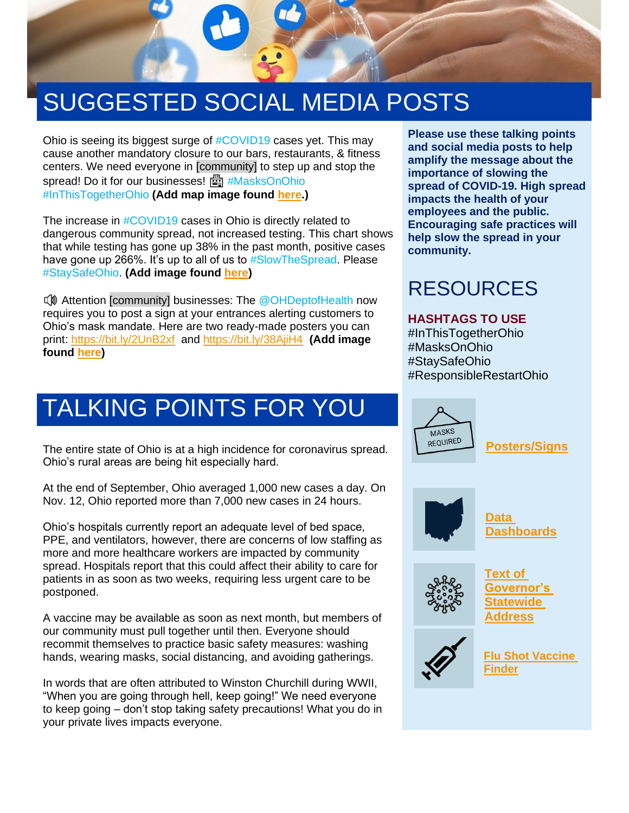

# SUGGESTED SOCIAL MEDIA POSTS

Ohio is seeing its biggest surge of #COVID19 cases yet. This may cause another mandatory closure to our bars, restaurants, & fitness centers. We need everyone in [community] to step up and stop the spread! Do it for our businesses! 圖 #MasksOnOhio #InThisTogetherOhio **(Add map image found [here.](https://twitter.com/GovMikeDeWine/status/1326966759946153984?s=20))**

The increase in #COVID19 cases in Ohio is directly related to dangerous community spread, not increased testing. This chart shows that while testing has gone up 38% in the past month, positive cases have gone up 266%. It's up to all of us to #SlowTheSpread. Please #StaySafeOhio. **(Add image found [here\)](https://twitter.com/GovMikeDeWine/status/1326966239768563715?s=20)**

*C* Attention [community] businesses: The @OHDeptofHealth now requires you to post a sign at your entrances alerting customers to Ohio's mask mandate. Here are two ready-made posters you can print:<https://bit.ly/2UnB2xf> and<https://bit.ly/38AjiH4>**(Add image found [here\)](https://twitter.com/GovMikeDeWine/status/1326948594625208321?s=20)**

# TALKING POINTS FOR YOU

The entire state of Ohio is at a high incidence for coronavirus spread. Ohio's rural areas are being hit especially hard.

At the end of September, Ohio averaged 1,000 new cases a day. On Nov. 12, Ohio reported more than 7,000 new cases in 24 hours.

Ohio's hospitals currently report an adequate level of bed space, PPE, and ventilators, however, there are concerns of low staffing as more and more healthcare workers are impacted by community spread. Hospitals report that this could affect their ability to care for patients in as soon as two weeks, requiring less urgent care to be postponed.

A vaccine may be available as soon as next month, but members of our community must pull together until then. Everyone should recommit themselves to practice basic safety measures: washing hands, wearing masks, social distancing, and avoiding gatherings.

In words that are often attributed to Winston Churchill during WWII, "When you are going through hell, keep going!" We need everyone to keep going – don't stop taking safety precautions! What you do in your private lives impacts everyone.

**Please use these talking points and social media posts to help amplify the message about the importance of slowing the spread of COVID-19. High spread impacts the health of your employees and the public. Encouraging safe practices will help slow the spread in your community.**

### RESOURCES

#### **HASHTAGS TO USE**

#InThisTogetherOhio #MasksOnOhio #StaySafeOhio #ResponsibleRestartOhio



**[Posters/Signs](https://coronavirus.ohio.gov/wps/portal/gov/covid-19/responsible-restart-ohio/Posters-and-Signs/Posters-and-Signs)**



**[Data](https://coronavirus.ohio.gov/wps/portal/gov/covid-19/dashboards)  [Dashboards](https://coronavirus.ohio.gov/wps/portal/gov/covid-19/dashboards)**



**[Text of](https://bit.ly/3kojag0)  [Governor's](https://bit.ly/3kojag0)  [Statewide](https://bit.ly/3kojag0)  [Address](https://bit.ly/3kojag0)**



**[Flu Shot Vaccine](https://vaccinefinder.org/)  [Finder](https://vaccinefinder.org/)**